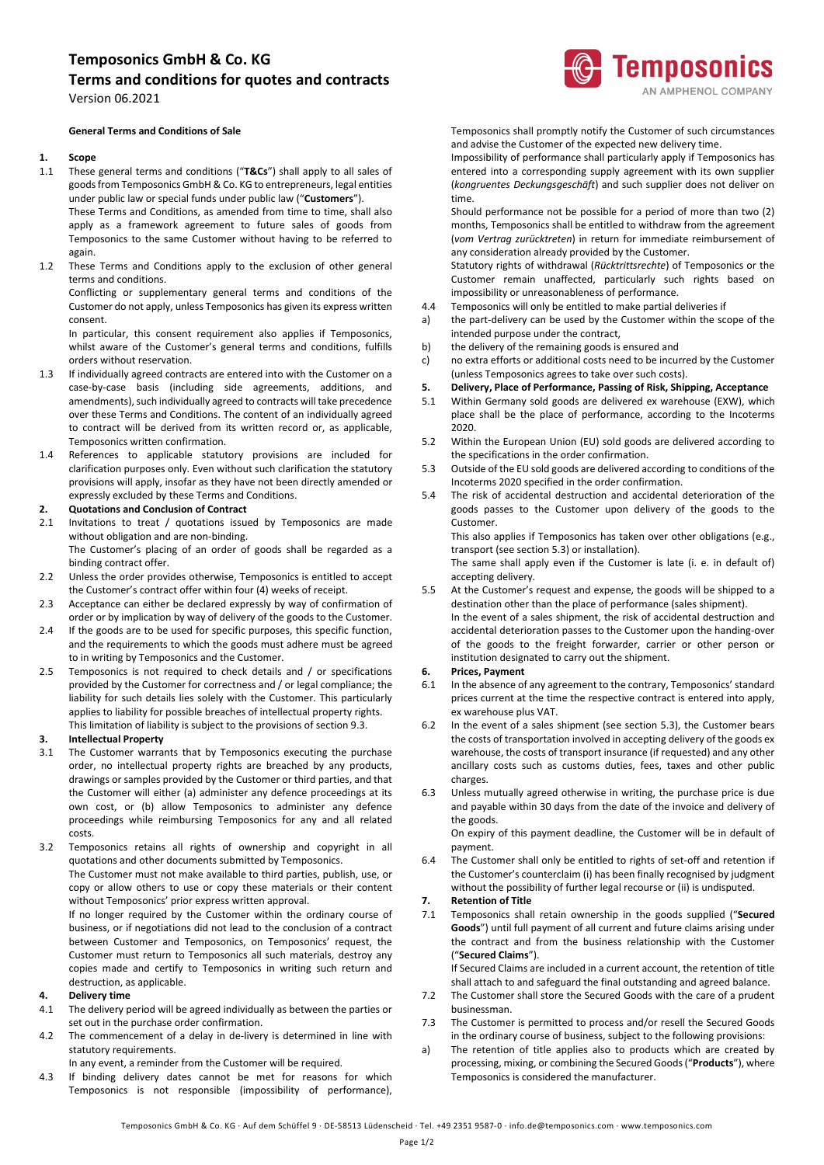## **Temposonics GmbH & Co. KG**

## **Terms and conditions for quotes and contracts** Version 06.2021

#### **General Terms and Conditions of Sale**

#### **1. Scope**

1.1 These general terms and conditions ("**T&Cs**") shall apply to all sales of goods from Temposonics GmbH & Co. KG to entrepreneurs, legal entities under public law or special funds under public law ("**Customers**").

These Terms and Conditions, as amended from time to time, shall also apply as a framework agreement to future sales of goods from Temposonics to the same Customer without having to be referred to again.

1.2 These Terms and Conditions apply to the exclusion of other general terms and conditions.

Conflicting or supplementary general terms and conditions of the Customer do not apply, unless Temposonics has given its express written consent.

In particular, this consent requirement also applies if Temposonics, whilst aware of the Customer's general terms and conditions, fulfills orders without reservation.

- 1.3 If individually agreed contracts are entered into with the Customer on a case-by-case basis (including side agreements, additions, and amendments), such individually agreed to contracts will take precedence over these Terms and Conditions. The content of an individually agreed to contract will be derived from its written record or, as applicable, Temposonics written confirmation.
- 1.4 References to applicable statutory provisions are included for clarification purposes only. Even without such clarification the statutory provisions will apply, insofar as they have not been directly amended or expressly excluded by these Terms and Conditions.

#### **2. Quotations and Conclusion of Contract**

2.1 Invitations to treat / quotations issued by Temposonics are made without obligation and are non-binding. The Customer's placing of an order of goods shall be regarded as a

binding contract offer.

- 2.2 Unless the order provides otherwise, Temposonics is entitled to accept the Customer's contract offer within four (4) weeks of receipt.
- 2.3 Acceptance can either be declared expressly by way of confirmation of order or by implication by way of delivery of the goods to the Customer.
- 2.4 If the goods are to be used for specific purposes, this specific function, and the requirements to which the goods must adhere must be agreed to in writing by Temposonics and the Customer.
- 2.5 Temposonics is not required to check details and / or specifications provided by the Customer for correctness and / or legal compliance; the liability for such details lies solely with the Customer. This particularly applies to liability for possible breaches of intellectual property rights. This limitation of liability is subject to the provisions of section 9.3.

#### **3. Intellectual Property**

- 3.1 The Customer warrants that by Temposonics executing the purchase order, no intellectual property rights are breached by any products, drawings or samples provided by the Customer or third parties, and that the Customer will either (a) administer any defence proceedings at its own cost, or (b) allow Temposonics to administer any defence proceedings while reimbursing Temposonics for any and all related costs.
- 3.2 Temposonics retains all rights of ownership and copyright in all quotations and other documents submitted by Temposonics. The Customer must not make available to third parties, publish, use, or copy or allow others to use or copy these materials or their content without Temposonics' prior express written approval.

If no longer required by the Customer within the ordinary course of business, or if negotiations did not lead to the conclusion of a contract between Customer and Temposonics, on Temposonics' request, the Customer must return to Temposonics all such materials, destroy any copies made and certify to Temposonics in writing such return and destruction, as applicable.

#### **4. Delivery time**

- 4.1 The delivery period will be agreed individually as between the parties or set out in the purchase order confirmation.
- 4.2 The commencement of a delay in de-livery is determined in line with statutory requirements.

In any event, a reminder from the Customer will be required.

4.3 If binding delivery dates cannot be met for reasons for which Temposonics is not responsible (impossibility of performance), Temposonics shall promptly notify the Customer of such circumstances and advise the Customer of the expected new delivery time.

Impossibility of performance shall particularly apply if Temposonics has entered into a corresponding supply agreement with its own supplier (*kongruentes Deckungsgeschäft*) and such supplier does not deliver on time.

Should performance not be possible for a period of more than two (2) months, Temposonics shall be entitled to withdraw from the agreement (*vom Vertrag zurücktreten*) in return for immediate reimbursement of any consideration already provided by the Customer.

Statutory rights of withdrawal (*Rücktrittsrechte*) of Temposonics or the Customer remain unaffected, particularly such rights based on impossibility or unreasonableness of performance.

- 4.4 Temposonics will only be entitled to make partial deliveries if
- a) the part-delivery can be used by the Customer within the scope of the intended purpose under the contract,
- b) the delivery of the remaining goods is ensured and
- c) no extra efforts or additional costs need to be incurred by the Customer (unless Temposonics agrees to take over such costs).
- **5. Delivery, Place of Performance, Passing of Risk, Shipping, Acceptance**
- 5.1 Within Germany sold goods are delivered ex warehouse (EXW), which place shall be the place of performance, according to the Incoterms 2020.
- 5.2 Within the European Union (EU) sold goods are delivered according to the specifications in the order confirmation.
- 5.3 Outside of the EU sold goods are delivered according to conditions of the Incoterms 2020 specified in the order confirmation.
- 5.4 The risk of accidental destruction and accidental deterioration of the goods passes to the Customer upon delivery of the goods to the Customer.

This also applies if Temposonics has taken over other obligations (e.g., transport (see section 5.3) or installation).

The same shall apply even if the Customer is late (i. e. in default of) accepting delivery.

5.5 At the Customer's request and expense, the goods will be shipped to a destination other than the place of performance (sales shipment). In the event of a sales shipment, the risk of accidental destruction and accidental deterioration passes to the Customer upon the handing-over of the goods to the freight forwarder, carrier or other person or institution designated to carry out the shipment.

#### **6. Prices, Payment**

- 6.1 In the absence of any agreement to the contrary, Temposonics' standard prices current at the time the respective contract is entered into apply, ex warehouse plus VAT.
- 6.2 In the event of a sales shipment (see section 5.3), the Customer bears the costs of transportation involved in accepting delivery of the goods ex warehouse, the costs of transport insurance (if requested) and any other ancillary costs such as customs duties, fees, taxes and other public charges.
- 6.3 Unless mutually agreed otherwise in writing, the purchase price is due and payable within 30 days from the date of the invoice and delivery of the goods.

On expiry of this payment deadline, the Customer will be in default of payment.

6.4 The Customer shall only be entitled to rights of set-off and retention if the Customer's counterclaim (i) has been finally recognised by judgment without the possibility of further legal recourse or (ii) is undisputed.

#### **7. Retention of Title**

7.1 Temposonics shall retain ownership in the goods supplied ("**Secured Goods**") until full payment of all current and future claims arising under the contract and from the business relationship with the Customer ("**Secured Claims**").

If Secured Claims are included in a current account, the retention of title shall attach to and safeguard the final outstanding and agreed balance.

- 7.2 The Customer shall store the Secured Goods with the care of a prudent businessman.
- 7.3 The Customer is permitted to process and/or resell the Secured Goods in the ordinary course of business, subject to the following provisions:
- a) The retention of title applies also to products which are created by processing, mixing, or combining the Secured Goods ("**Products**"), where Temposonics is considered the manufacturer.